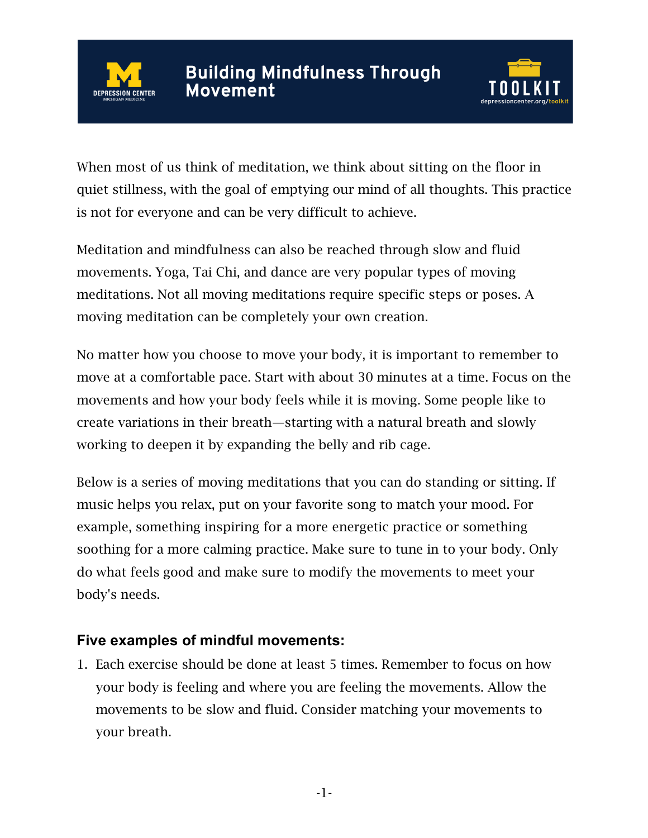



When most of us think of meditation, we think about sitting on the floor in quiet stillness, with the goal of emptying our mind of all thoughts. This practice is not for everyone and can be very difficult to achieve.

Meditation and mindfulness can also be reached through slow and fluid movements. Yoga, Tai Chi, and dance are very popular types of moving meditations. Not all moving meditations require specific steps or poses. A moving meditation can be completely your own creation.

No matter how you choose to move your body, it is important to remember to move at a comfortable pace. Start with about 30 minutes at a time. Focus on the movements and how your body feels while it is moving. Some people like to create variations in their breath—starting with a natural breath and slowly working to deepen it by expanding the belly and rib cage.

Below is a series of moving meditations that you can do standing or sitting. If music helps you relax, put on your favorite song to match your mood. For example, something inspiring for a more energetic practice or something soothing for a more calming practice. Make sure to tune in to your body. Only do what feels good and make sure to modify the movements to meet your body's needs.

## **Five examples of mindful movements:**

1. Each exercise should be done at least 5 times. Remember to focus on how your body is feeling and where you are feeling the movements. Allow the movements to be slow and fluid. Consider matching your movements to your breath.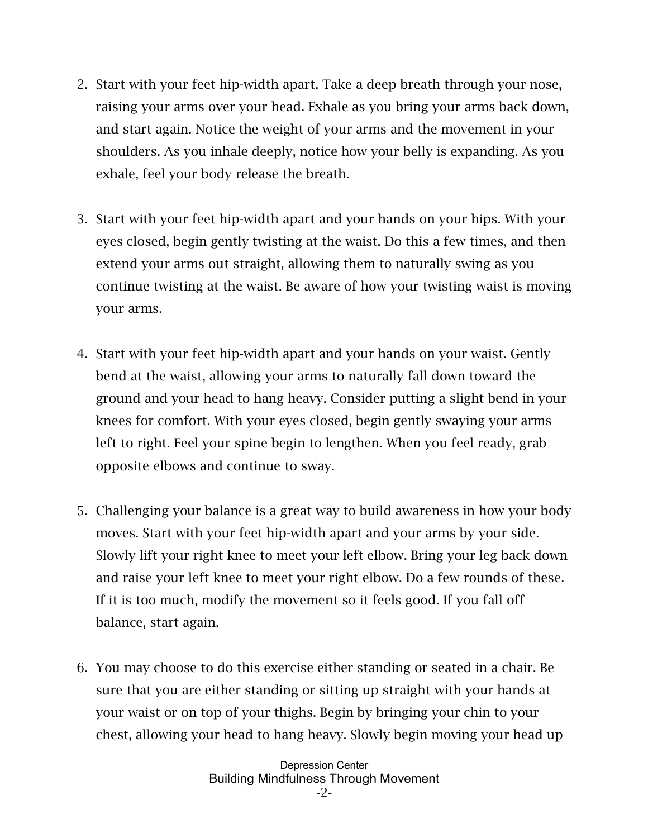- 2. Start with your feet hip-width apart. Take a deep breath through your nose, raising your arms over your head. Exhale as you bring your arms back down, and start again. Notice the weight of your arms and the movement in your shoulders. As you inhale deeply, notice how your belly is expanding. As you exhale, feel your body release the breath.
- 3. Start with your feet hip-width apart and your hands on your hips. With your eyes closed, begin gently twisting at the waist. Do this a few times, and then extend your arms out straight, allowing them to naturally swing as you continue twisting at the waist. Be aware of how your twisting waist is moving your arms.
- 4. Start with your feet hip-width apart and your hands on your waist. Gently bend at the waist, allowing your arms to naturally fall down toward the ground and your head to hang heavy. Consider putting a slight bend in your knees for comfort. With your eyes closed, begin gently swaying your arms left to right. Feel your spine begin to lengthen. When you feel ready, grab opposite elbows and continue to sway.
- 5. Challenging your balance is a great way to build awareness in how your body moves. Start with your feet hip-width apart and your arms by your side. Slowly lift your right knee to meet your left elbow. Bring your leg back down and raise your left knee to meet your right elbow. Do a few rounds of these. If it is too much, modify the movement so it feels good. If you fall off balance, start again.
- 6. You may choose to do this exercise either standing or seated in a chair. Be sure that you are either standing or sitting up straight with your hands at your waist or on top of your thighs. Begin by bringing your chin to your chest, allowing your head to hang heavy. Slowly begin moving your head up